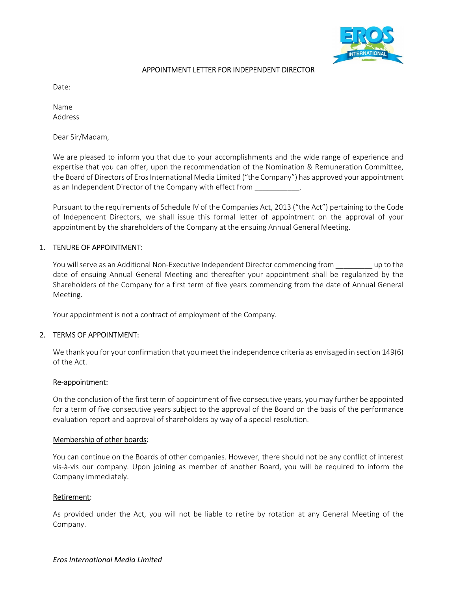

# APPOINTMENT LETTER FOR INDEPENDENT DIRECTOR

Date:

Name Address

Dear Sir/Madam,

We are pleased to inform you that due to your accomplishments and the wide range of experience and expertise that you can offer, upon the recommendation of the Nomination & Remuneration Committee, the Board of Directors of Eros International Media Limited ("the Company") has approved your appointment as an Independent Director of the Company with effect from

Pursuant to the requirements of Schedule IV of the Companies Act, 2013 ("the Act") pertaining to the Code of Independent Directors, we shall issue this formal letter of appointment on the approval of your appointment by the shareholders of the Company at the ensuing Annual General Meeting.

### 1. TENURE OF APPOINTMENT:

You will serve as an Additional Non-Executive Independent Director commencing from equation to the date of ensuing Annual General Meeting and thereafter your appointment shall be regularized by the Shareholders of the Company for a first term of five years commencing from the date of Annual General Meeting.

Your appointment is not a contract of employment of the Company.

#### 2. TERMS OF APPOINTMENT:

We thank you for your confirmation that you meet the independence criteria as envisaged in section 149(6) of the Act.

#### Re-appointment:

On the conclusion of the first term of appointment of five consecutive years, you may further be appointed for a term of five consecutive years subject to the approval of the Board on the basis of the performance evaluation report and approval of shareholders by way of a special resolution.

#### Membership of other boards:

You can continue on the Boards of other companies. However, there should not be any conflict of interest vis-à-vis our company. Upon joining as member of another Board, you will be required to inform the Company immediately.

#### Retirement:

As provided under the Act, you will not be liable to retire by rotation at any General Meeting of the Company.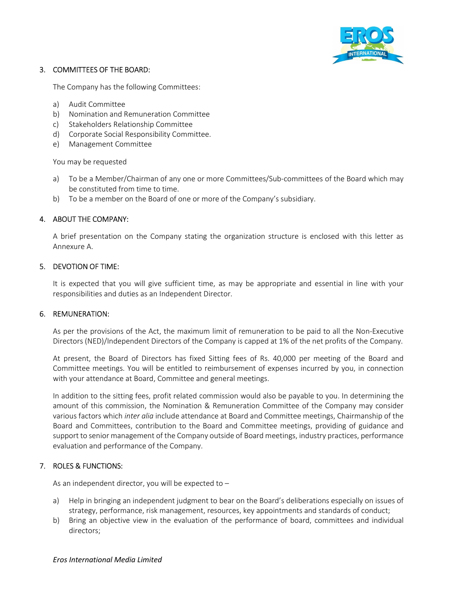

### 3. COMMITTEES OF THE BOARD:

The Company has the following Committees:

- a) Audit Committee
- b) Nomination and Remuneration Committee
- c) Stakeholders Relationship Committee
- d) Corporate Social Responsibility Committee.
- e) Management Committee

You may be requested

- a) To be a Member/Chairman of any one or more Committees/Sub-committees of the Board which may be constituted from time to time.
- b) To be a member on the Board of one or more of the Company's subsidiary.

# 4. ABOUT THE COMPANY:

A brief presentation on the Company stating the organization structure is enclosed with this letter as Annexure A.

### 5. DEVOTION OF TIME:

It is expected that you will give sufficient time, as may be appropriate and essential in line with your responsibilities and duties as an Independent Director.

### 6. REMUNERATION:

As per the provisions of the Act, the maximum limit of remuneration to be paid to all the Non-Executive Directors (NED)/Independent Directors of the Company is capped at 1% of the net profits of the Company.

At present, the Board of Directors has fixed Sitting fees of Rs. 40,000 per meeting of the Board and Committee meetings. You will be entitled to reimbursement of expenses incurred by you, in connection with your attendance at Board, Committee and general meetings.

In addition to the sitting fees, profit related commission would also be payable to you. In determining the amount of this commission, the Nomination & Remuneration Committee of the Company may consider various factors which inter alia include attendance at Board and Committee meetings, Chairmanship of the Board and Committees, contribution to the Board and Committee meetings, providing of guidance and support to senior management of the Company outside of Board meetings, industry practices, performance evaluation and performance of the Company.

# 7. ROLES & FUNCTIONS:

As an independent director, you will be expected to –

- a) Help in bringing an independent judgment to bear on the Board's deliberations especially on issues of strategy, performance, risk management, resources, key appointments and standards of conduct;
- b) Bring an objective view in the evaluation of the performance of board, committees and individual directors;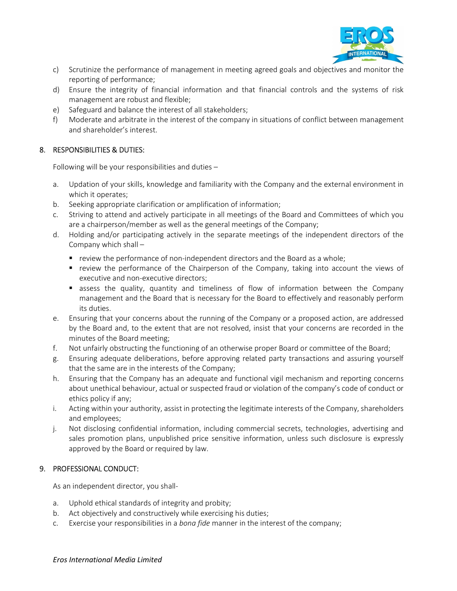

- c) Scrutinize the performance of management in meeting agreed goals and objectives and monitor the reporting of performance;
- d) Ensure the integrity of financial information and that financial controls and the systems of risk management are robust and flexible;
- e) Safeguard and balance the interest of all stakeholders;
- f) Moderate and arbitrate in the interest of the company in situations of conflict between management and shareholder's interest.

# 8. RESPONSIBILITIES & DUTIES:

Following will be your responsibilities and duties –

- a. Updation of your skills, knowledge and familiarity with the Company and the external environment in which it operates;
- b. Seeking appropriate clarification or amplification of information;
- c. Striving to attend and actively participate in all meetings of the Board and Committees of which you are a chairperson/member as well as the general meetings of the Company;
- d. Holding and/or participating actively in the separate meetings of the independent directors of the Company which shall –
	- **•** review the performance of non-independent directors and the Board as a whole;
	- review the performance of the Chairperson of the Company, taking into account the views of executive and non-executive directors;
	- **E** assess the quality, quantity and timeliness of flow of information between the Company management and the Board that is necessary for the Board to effectively and reasonably perform its duties.
- e. Ensuring that your concerns about the running of the Company or a proposed action, are addressed by the Board and, to the extent that are not resolved, insist that your concerns are recorded in the minutes of the Board meeting;
- f. Not unfairly obstructing the functioning of an otherwise proper Board or committee of the Board;
- g. Ensuring adequate deliberations, before approving related party transactions and assuring yourself that the same are in the interests of the Company;
- h. Ensuring that the Company has an adequate and functional vigil mechanism and reporting concerns about unethical behaviour, actual or suspected fraud or violation of the company's code of conduct or ethics policy if any;
- i. Acting within your authority, assist in protecting the legitimate interests of the Company, shareholders and employees;
- j. Not disclosing confidential information, including commercial secrets, technologies, advertising and sales promotion plans, unpublished price sensitive information, unless such disclosure is expressly approved by the Board or required by law.

# 9. PROFESSIONAL CONDUCT:

As an independent director, you shall-

- a. Uphold ethical standards of integrity and probity;
- b. Act objectively and constructively while exercising his duties;
- c. Exercise your responsibilities in a bona fide manner in the interest of the company;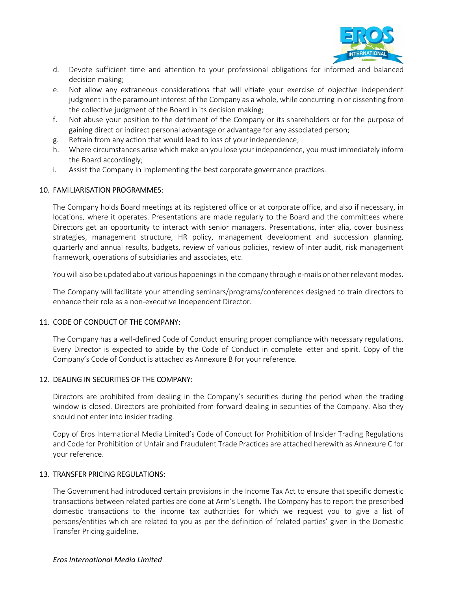

- d. Devote sufficient time and attention to your professional obligations for informed and balanced decision making;
- e. Not allow any extraneous considerations that will vitiate your exercise of objective independent judgment in the paramount interest of the Company as a whole, while concurring in or dissenting from the collective judgment of the Board in its decision making;
- f. Not abuse your position to the detriment of the Company or its shareholders or for the purpose of gaining direct or indirect personal advantage or advantage for any associated person;
- g. Refrain from any action that would lead to loss of your independence;
- h. Where circumstances arise which make an you lose your independence, you must immediately inform the Board accordingly;
- i. Assist the Company in implementing the best corporate governance practices.

### 10. FAMILIARISATION PROGRAMMES:

The Company holds Board meetings at its registered office or at corporate office, and also if necessary, in locations, where it operates. Presentations are made regularly to the Board and the committees where Directors get an opportunity to interact with senior managers. Presentations, inter alia, cover business strategies, management structure, HR policy, management development and succession planning, quarterly and annual results, budgets, review of various policies, review of inter audit, risk management framework, operations of subsidiaries and associates, etc.

You will also be updated about various happenings in the company through e-mails or other relevant modes.

The Company will facilitate your attending seminars/programs/conferences designed to train directors to enhance their role as a non-executive Independent Director.

### 11. CODE OF CONDUCT OF THE COMPANY:

The Company has a well-defined Code of Conduct ensuring proper compliance with necessary regulations. Every Director is expected to abide by the Code of Conduct in complete letter and spirit. Copy of the Company's Code of Conduct is attached as Annexure B for your reference.

### 12. DEALING IN SECURITIES OF THE COMPANY:

Directors are prohibited from dealing in the Company's securities during the period when the trading window is closed. Directors are prohibited from forward dealing in securities of the Company. Also they should not enter into insider trading.

Copy of Eros International Media Limited's Code of Conduct for Prohibition of Insider Trading Regulations and Code for Prohibition of Unfair and Fraudulent Trade Practices are attached herewith as Annexure C for your reference.

### 13. TRANSFER PRICING REGULATIONS:

The Government had introduced certain provisions in the Income Tax Act to ensure that specific domestic transactions between related parties are done at Arm's Length. The Company has to report the prescribed domestic transactions to the income tax authorities for which we request you to give a list of persons/entities which are related to you as per the definition of 'related parties' given in the Domestic Transfer Pricing guideline.